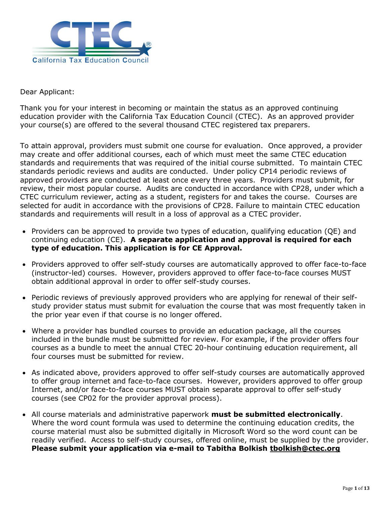

Dear Applicant:

Thank you for your interest in becoming or maintain the status as an approved continuing education provider with the California Tax Education Council (CTEC). As an approved provider your course(s) are offered to the several thousand CTEC registered tax preparers.

To attain approval, providers must submit one course for evaluation. Once approved, a provider may create and offer additional courses, each of which must meet the same CTEC education standards and requirements that was required of the initial course submitted. To maintain CTEC standards periodic reviews and audits are conducted. Under policy CP14 periodic reviews of approved providers are conducted at least once every three years. Providers must submit, for review, their most popular course. Audits are conducted in accordance with CP28, under which a CTEC curriculum reviewer, acting as a student, registers for and takes the course. Courses are selected for audit in accordance with the provisions of CP28. Failure to maintain CTEC education standards and requirements will result in a loss of approval as a CTEC provider.

- Providers can be approved to provide two types of education, qualifying education (QE) and continuing education (CE). **A separate application and approval is required for each type of education. This application is for CE Approval.**
- Providers approved to offer self-study courses are automatically approved to offer face-to-face (instructor-led) courses. However, providers approved to offer face-to-face courses MUST obtain additional approval in order to offer self-study courses.
- Periodic reviews of previously approved providers who are applying for renewal of their selfstudy provider status must submit for evaluation the course that was most frequently taken in the prior year even if that course is no longer offered.
- Where a provider has bundled courses to provide an education package, all the courses included in the bundle must be submitted for review. For example, if the provider offers four courses as a bundle to meet the annual CTEC 20-hour continuing education requirement, all four courses must be submitted for review.
- As indicated above, providers approved to offer self-study courses are automatically approved to offer group internet and face-to-face courses. However, providers approved to offer group Internet, and/or face-to-face courses MUST obtain separate approval to offer self-study courses (see CP02 for the provider approval process).
- All course materials and administrative paperwork **must be submitted electronically**. Where the word count formula was used to determine the continuing education credits, the course material must also be submitted digitally in Microsoft Word so the word count can be readily verified. Access to self-study courses, offered online, must be supplied by the provider. **Please submit your application via e-mail to Tabitha Bolkish [tbolkish@ctec.org](mailto:tbolkish@ctec.org)**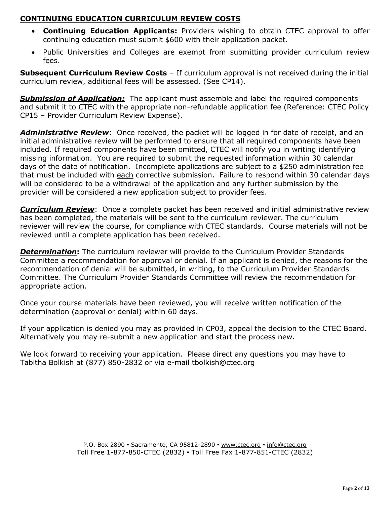### **CONTINUING EDUCATION CURRICULUM REVIEW COSTS**

- **Continuing Education Applicants:** Providers wishing to obtain CTEC approval to offer continuing education must submit \$600 with their application packet.
- Public Universities and Colleges are exempt from submitting provider curriculum review fees.

**Subsequent Curriculum Review Costs** - If curriculum approval is not received during the initial curriculum review, additional fees will be assessed. (See CP14).

*Submission of Application:* The applicant must assemble and label the required components and submit it to CTEC with the appropriate non-refundable application fee (Reference: CTEC Policy CP15 – Provider Curriculum Review Expense).

**Administrative Review**: Once received, the packet will be logged in for date of receipt, and an initial administrative review will be performed to ensure that all required components have been included. If required components have been omitted, CTEC will notify you in writing identifying missing information. You are required to submit the requested information within 30 calendar days of the date of notification. Incomplete applications are subject to a \$250 administration fee that must be included with each corrective submission. Failure to respond within 30 calendar days will be considered to be a withdrawal of the application and any further submission by the provider will be considered a new application subject to provider fees.

*Curriculum Review*: Once a complete packet has been received and initial administrative review has been completed, the materials will be sent to the curriculum reviewer. The curriculum reviewer will review the course, for compliance with CTEC standards. Course materials will not be reviewed until a complete application has been received.

**Determination:** The curriculum reviewer will provide to the Curriculum Provider Standards Committee a recommendation for approval or denial. If an applicant is denied, the reasons for the recommendation of denial will be submitted, in writing, to the Curriculum Provider Standards Committee. The Curriculum Provider Standards Committee will review the recommendation for appropriate action.

Once your course materials have been reviewed, you will receive written notification of the determination (approval or denial) within 60 days.

If your application is denied you may as provided in CP03, appeal the decision to the CTEC Board. Alternatively you may re-submit a new application and start the process new.

We look forward to receiving your application. Please direct any questions you may have to Tabitha Bolkish at (877) 850-2832 or via e-mail [tbolkish@ctec.org](mailto:tbolkish@ctec.org)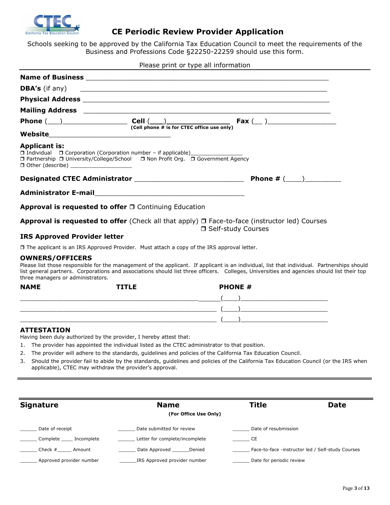

### **CE Periodic Review Provider Application**

Schools seeking to be approved by the California Tax Education Council to meet the requirements of the Business and Professions Code §22250-22259 should use this form.

Please print or type all information

|                                                                                                                                                                                                                                           | Mailing Address 2008 2009 2009 2010 2020 2021 2022 2023 2024 2022 2023 2024 2022 2023 2024 2022 2023 2024 2023                    |
|-------------------------------------------------------------------------------------------------------------------------------------------------------------------------------------------------------------------------------------------|-----------------------------------------------------------------------------------------------------------------------------------|
|                                                                                                                                                                                                                                           | Phone $(\_\_\_\_\_\_\_\_\_\$ Cell $(\_\_\_\_\_\_\_\_$ is for CTEC office use only) Fax $(\_\_\_\_\_\_\_\_\_$                      |
|                                                                                                                                                                                                                                           |                                                                                                                                   |
| <b>Applicant is:</b><br>□ Individual □ Corporation (Corporation number - if applicable) _______________<br>□ Partnership □ University/College/School □ Non Profit Org. □ Government Agency<br>□ Other (describe) ________________________ |                                                                                                                                   |
|                                                                                                                                                                                                                                           |                                                                                                                                   |
|                                                                                                                                                                                                                                           |                                                                                                                                   |
| Approval is requested to offer $\Box$ Continuing Education                                                                                                                                                                                |                                                                                                                                   |
|                                                                                                                                                                                                                                           | <b>Approval is requested to offer</b> (Check all that apply) $\Box$ Face-to-face (instructor led) Courses<br>□ Self-study Courses |
| <b>IRS Approved Provider letter</b>                                                                                                                                                                                                       |                                                                                                                                   |
| $\Box$ The applicant is an IRS Approved Provider. Must attach a copy of the IRS approval letter.                                                                                                                                          |                                                                                                                                   |
| $\bigcap$                                                                                                                                                                                                                                 |                                                                                                                                   |

#### **OWNERS/OFFICERS**  Please list those responsible for the management of the applicant. If applicant is an individual, list that individual. Partnerships should list general partners. Corporations and associations should list three officers. Colleges, Universities and agencies should list their top three managers or administrators.

| <b>NAME</b> | <b>TITLE</b> | <b>PHONE #</b> |
|-------------|--------------|----------------|
|             |              |                |
|             |              |                |
|             |              |                |

#### **ATTESTATION**

Having been duly authorized by the provider, I hereby attest that:

- 1. The provider has appointed the individual listed as the CTEC administrator to that position.
- 2. The provider will adhere to the standards, guidelines and policies of the California Tax Education Council.
- 3. Should the provider fail to abide by the standards, guidelines and policies of the California Tax Education Council (or the IRS when applicable), CTEC may withdraw the provider's approval.

| <b>Signature</b>         | <b>Name</b>                    | Title                    | <b>Date</b>                                       |
|--------------------------|--------------------------------|--------------------------|---------------------------------------------------|
|                          | (For Office Use Only)          |                          |                                                   |
| Date of receipt          | Date submitted for review      | Date of resubmission     |                                                   |
| Complete<br>Incomplete   | Letter for complete/incomplete | CE                       |                                                   |
| Check $#$<br>Amount      | Date Approved<br>Denied        |                          | Face-to-face -instructor led / Self-study Courses |
| Approved provider number | IRS Approved provider number   | Date for periodic review |                                                   |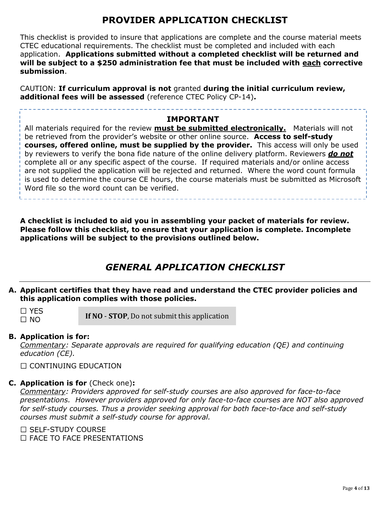## **PROVIDER APPLICATION CHECKLIST**

This checklist is provided to insure that applications are complete and the course material meets CTEC educational requirements. The checklist must be completed and included with each application. **Applications submitted without a completed checklist will be returned and will be subject to a \$250 administration fee that must be included with each corrective submission**.

CAUTION: **If curriculum approval is not** granted **during the initial curriculum review, additional fees will be assessed** (reference CTEC Policy CP-14)**.**

### **IMPORTANT**

All materials required for the review **must be submitted electronically.** Materials will not be retrieved from the provider's website or other online source. **Access to self-study courses, offered online, must be supplied by the provider.** This access will only be used by reviewers to verify the bona fide nature of the online delivery platform. Reviewers *do not* complete all or any specific aspect of the course. If required materials and/or online access are not supplied the application will be rejected and returned. Where the word count formula is used to determine the course CE hours, the course materials must be submitted as Microsoft Word file so the word count can be verified.

**A checklist is included to aid you in assembling your packet of materials for review. Please follow this checklist, to ensure that your application is complete. Incomplete applications will be subject to the provisions outlined below.** 

## *GENERAL APPLICATION CHECKLIST*

### **A. Applicant certifies that they have read and understand the CTEC provider policies and this application complies with those policies.**

 $\Box$  YES  $\Box$  NO

**If NO** - **STOP**, Do not submit this application

### **B. Application is for:**

*Commentary: Separate approvals are required for qualifying education (QE) and continuing education (CE).*

 $\Box$  CONTINUING EDUCATION

### **C. Application is for** (Check one)**:**

*Commentary: Providers approved for self-study courses are also approved for face-to-face presentations. However providers approved for only face-to-face courses are NOT also approved for self-study courses. Thus a provider seeking approval for both face-to-face and self-study courses must submit a self-study course for approval.* 

 $\Box$  SELE-STUDY COURSE  $\Box$  FACE TO FACE PRESENTATIONS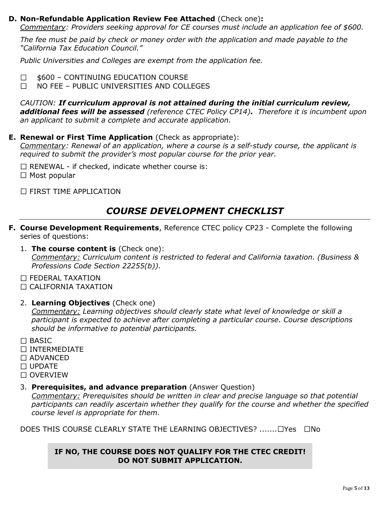### **D. Non-Refundable Application Review Fee Attached** (Check one)**:**

*Commentary: Providers seeking approval for CE courses must include an application fee of \$600.* 

*The fee must be paid by check or money order with the application and made payable to the "California Tax Education Council."* 

*Public Universities and Colleges are exempt from the application fee.* 

600 – CONTINUING EDUCATION COURSE  $\Box$ 

 NO FEE – PUBLIC UNIVERSITIES AND COLLEGES  $\Box$ 

*CAUTION: If curriculum approval is not attained during the initial curriculum review, additional fees will be assessed (reference CTEC Policy CP14). Therefore it is incumbent upon an applicant to submit a complete and accurate application.*

#### **E. Renewal or First Time Application** (Check as appropriate):

*Commentary: Renewal of an application, where a course is a self-study course, the applicant is required to submit the provider's most popular course for the prior year.* 

 $\Box$  RENEWAL - if checked, indicate whether course is:  $\Box$  Most popular

□ FIRST TIME APPLICATION

### *COURSE DEVELOPMENT CHECKLIST*

- **F. Course Development Requirements**, Reference CTEC policy CP23 Complete the following series of questions:
	- 1. **The course content is** (Check one): *Commentary: Curriculum content is restricted to federal and California taxation. (Business & Professions Code Section 22255(b)).*
	- $\Box$  FEDERAL TAXATION
	- $\Box$  CALIFORNIA TAXATION
	- 2. **Learning Objectives** (Check one)

*Commentary: Learning objectives should clearly state what level of knowledge or skill a participant is expected to achieve after completing a particular course. Course descriptions should be informative to potential participants.* 

- □ BASIC
- INTERMEDIATE
- □ ADVANCED
- $\Box$  UPDATE
- $\Box$  OVERVIEW
- 3. **Prerequisites, and advance preparation** (Answer Question)

*Commentary: Prerequisites should be written in clear and precise language so that potential participants can readily ascertain whether they qualify for the course and whether the specified course level is appropriate for them.* 

DOES THIS COURSE CLEARLY STATE THE LEARNING OBJECTIVES? ........ TYes Tho

### **IF NO, THE COURSE DOES NOT QUALIFY FOR THE CTEC CREDIT! DO NOT SUBMIT APPLICATION.**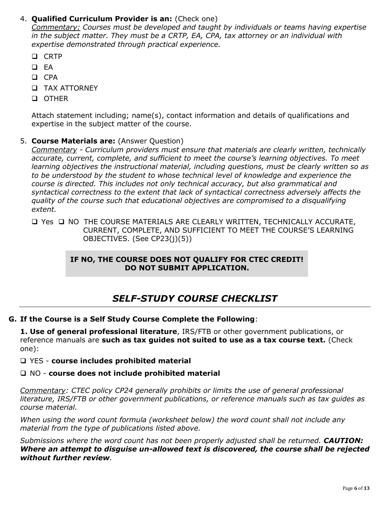### 4. **Qualified Curriculum Provider is an:** (Check one)

*Commentary: Courses must be developed and taught by individuals or teams having expertise in the subject matter. They must be a CRTP, EA, CPA, tax attorney or an individual with expertise demonstrated through practical experience.*

- **Q** CRTP
- $\Box$  EA
- $\Box$  CPA
- TAX ATTORNEY
- OTHER

Attach statement including; name(s), contact information and details of qualifications and expertise in the subject matter of the course.

### 5. **Course Materials are:** (Answer Question)

*Commentary - Curriculum providers must ensure that materials are clearly written, technically accurate, current, complete, and sufficient to meet the course's learning objectives. To meet learning objectives the instructional material, including questions, must be clearly written so as to be understood by the student to whose technical level of knowledge and experience the course is directed. This includes not only technical accuracy, but also grammatical and syntactical correctness to the extent that lack of syntactical correctness adversely affects the quality of the course such that educational objectives are compromised to a disqualifying extent.* 

□ Yes □ NO THE COURSE MATERIALS ARE CLEARLY WRITTEN, TECHNICALLY ACCURATE, CURRENT, COMPLETE, AND SUFFICIENT TO MEET THE COURSE'S LEARNING OBJECTIVES. (See CP23(j)(5))

### **IF NO, THE COURSE DOES NOT QUALIFY FOR CTEC CREDIT! DO NOT SUBMIT APPLICATION.**

## *SELF-STUDY COURSE CHECKLIST*

### **G. If the Course is a Self Study Course Complete the Following**:

**1. Use of general professional literature**, IRS/FTB or other government publications, or reference manuals are **such as tax guides not suited to use as a tax course text.** (Check one):

### YES - **course includes prohibited material**

### NO - **course does not include prohibited material**

*Commentary: CTEC policy CP24 generally prohibits or limits the use of general professional literature, IRS/FTB or other government publications, or reference manuals such as tax guides as course material.* 

*When using the word count formula (worksheet below) the word count shall not include any material from the type of publications listed above.* 

*Submissions where the word count has not been properly adjusted shall be returned. CAUTION: Where an attempt to disguise un-allowed text is discovered, the course shall be rejected without further review.*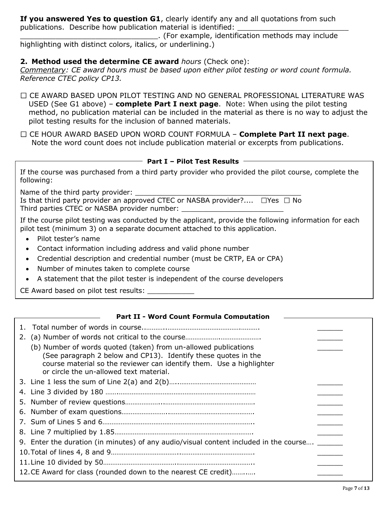**If you answered Yes to question G1**, clearly identify any and all quotations from such publications. Describe how publication material is identified:

\_\_\_\_\_\_\_\_\_\_\_\_\_\_\_\_\_\_\_\_\_\_\_\_\_\_\_\_\_\_\_. (For example, identification methods may include highlighting with distinct colors, italics, or underlining.)

### **2. Method used the determine CE award** *hours* (Check one):

*Commentary: CE award hours must be based upon either pilot testing or word count formula. Reference CTEC policy CP13.* 

- CE AWARD BASED UPON PILOT TESTING AND NO GENERAL PROFESSIONAL LITERATURE WAS USED (See G1 above) – **complete Part I next page**. Note: When using the pilot testing method, no publication material can be included in the material as there is no way to adjust the pilot testing results for the inclusion of banned materials.
- CE HOUR AWARD BASED UPON WORD COUNT FORMULA **Complete Part II next page**. Note the word count does not include publication material or excerpts from publications.

## **Part I – Pilot Test Results**

If the course was purchased from a third party provider who provided the pilot course, complete the following:

Name of the third party provider: \_\_\_\_\_\_\_\_\_\_\_\_\_\_\_\_\_\_\_\_\_\_\_\_\_\_\_\_\_\_\_\_\_\_\_\_\_\_\_

| Is that third party provider an approved CTEC or NASBA provider? $\square$ Yes $\square$ No |  |
|---------------------------------------------------------------------------------------------|--|
| Third parties CTEC or NASBA provider number:                                                |  |

If the course pilot testing was conducted by the applicant, provide the following information for each pilot test (minimum 3) on a separate document attached to this application.

- Pilot tester's name
- Contact information including address and valid phone number
- Credential description and credential number (must be CRTP, EA or CPA)
- Number of minutes taken to complete course
- A statement that the pilot tester is independent of the course developers

CE Award based on pilot test results:

### **Part II - Word Count Formula Computation**

| 2. |                                                                                                                                                                                                                                                      |  |
|----|------------------------------------------------------------------------------------------------------------------------------------------------------------------------------------------------------------------------------------------------------|--|
|    | (b) Number of words quoted (taken) from un-allowed publications<br>(See paragraph 2 below and CP13). Identify these quotes in the<br>course material so the reviewer can identify them. Use a highlighter<br>or circle the un-allowed text material. |  |
|    |                                                                                                                                                                                                                                                      |  |
|    |                                                                                                                                                                                                                                                      |  |
|    |                                                                                                                                                                                                                                                      |  |
|    |                                                                                                                                                                                                                                                      |  |
|    |                                                                                                                                                                                                                                                      |  |
|    |                                                                                                                                                                                                                                                      |  |
|    | 9. Enter the duration (in minutes) of any audio/visual content included in the course _______                                                                                                                                                        |  |
|    |                                                                                                                                                                                                                                                      |  |
|    |                                                                                                                                                                                                                                                      |  |
|    | 12. CE Award for class (rounded down to the nearest CE credit)                                                                                                                                                                                       |  |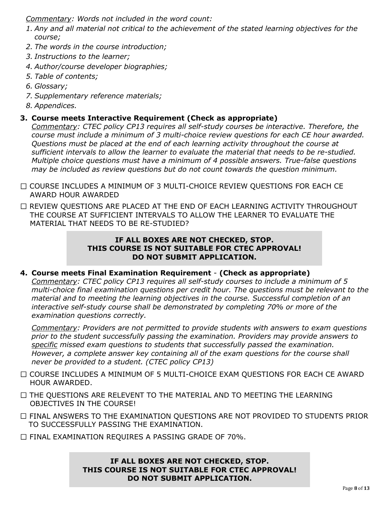*Commentary: Words not included in the word count:*

- *1. Any and all material not critical to the achievement of the stated learning objectives for the course;*
- *2. The words in the course introduction;*
- *3. Instructions to the learner;*
- *4. Author/course developer biographies;*
- *5. Table of contents;*
- *6. Glossary;*
- *7. Supplementary reference materials;*
- *8. Appendices.*

### **3. Course meets Interactive Requirement (Check as appropriate)**

*Commentary: CTEC policy CP13 requires all self-study courses be interactive. Therefore, the course must include a minimum of 3 multi-choice review questions for each CE hour awarded. Questions must be placed at the end of each learning activity throughout the course at sufficient intervals to allow the learner to evaluate the material that needs to be re-studied. Multiple choice questions must have a minimum of 4 possible answers. True-false questions may be included as review questions but do not count towards the question minimum.* 

- COURSE INCLUDES A MINIMUM OF 3 MULTI-CHOICE REVIEW QUESTIONS FOR EACH CE AWARD HOUR AWARDED
- $\Box$  REVIEW QUESTIONS ARE PLACED AT THE END OF EACH LEARNING ACTIVITY THROUGHOUT THE COURSE AT SUFFICIENT INTERVALS TO ALLOW THE LEARNER TO EVALUATE THE MATERIAL THAT NEEDS TO BE RE-STUDIED?

### **IF ALL BOXES ARE NOT CHECKED, STOP. THIS COURSE IS NOT SUITABLE FOR CTEC APPROVAL! DO NOT SUBMIT APPLICATION.**

### **4. Course meets Final Examination Requirement** - **(Check as appropriate)**

*Commentary: CTEC policy CP13 requires all self-study courses to include a minimum of 5 multi-choice final examination questions per credit hour. The questions must be relevant to the material and to meeting the learning objectives in the course. Successful completion of an interactive self-study course shall be demonstrated by completing 70% or more of the examination questions correctly.* 

*Commentary: Providers are not permitted to provide students with answers to exam questions prior to the student successfully passing the examination. Providers may provide answers to specific missed exam questions to students that successfully passed the examination. However, a complete answer key containing all of the exam questions for the course shall never be provided to a student. (CTEC policy CP13)*

- COURSE INCLUDES A MINIMUM OF 5 MULTI-CHOICE EXAM QUESTIONS FOR EACH CE AWARD HOUR AWARDED.
- $\Box$  THE QUESTIONS ARE RELEVENT TO THE MATERIAL AND TO MEETING THE LEARNING OBJECTIVES IN THE COURSE!
- $\Box$  FINAL ANSWERS TO THE EXAMINATION QUESTIONS ARE NOT PROVIDED TO STUDENTS PRIOR TO SUCCESSFULLY PASSING THE EXAMINATION.
- FINAL EXAMINATION REQUIRES A PASSING GRADE OF 70%.

**IF ALL BOXES ARE NOT CHECKED, STOP. THIS COURSE IS NOT SUITABLE FOR CTEC APPROVAL! DO NOT SUBMIT APPLICATION.**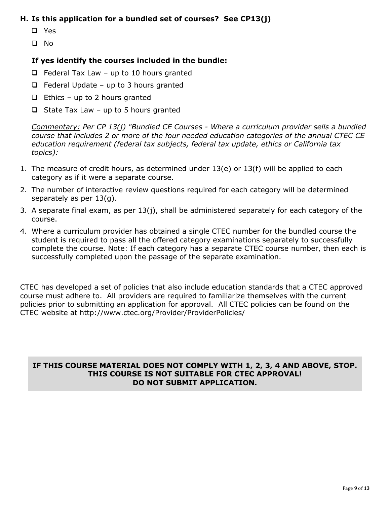### **H. Is this application for a bundled set of courses? See CP13(j)**

- Yes
- $\Box$  No

### **If yes identify the courses included in the bundle:**

- $\Box$  Federal Tax Law up to 10 hours granted
- $\Box$  Federal Update up to 3 hours granted
- $\Box$  Ethics up to 2 hours granted
- $\Box$  State Tax Law up to 5 hours granted

*Commentary: Per CP 13(j) "Bundled CE Courses - Where a curriculum provider sells a bundled course that includes 2 or more of the four needed education categories of the annual CTEC CE education requirement (federal tax subjects, federal tax update, ethics or California tax topics):*

- 1. The measure of credit hours, as determined under 13(e) or 13(f) will be applied to each category as if it were a separate course.
- 2. The number of interactive review questions required for each category will be determined separately as per 13(g).
- 3. A separate final exam, as per 13(j), shall be administered separately for each category of the course.
- 4. Where a curriculum provider has obtained a single CTEC number for the bundled course the student is required to pass all the offered category examinations separately to successfully complete the course. Note: If each category has a separate CTEC course number, then each is successfully completed upon the passage of the separate examination.

CTEC has developed a set of policies that also include education standards that a CTEC approved course must adhere to. All providers are required to familiarize themselves with the current policies prior to submitting an application for approval. All CTEC policies can be found on the CTEC website at http://www.ctec.org/Provider/ProviderPolicies/

### **IF THIS COURSE MATERIAL DOES NOT COMPLY WITH 1, 2, 3, 4 AND ABOVE, STOP. THIS COURSE IS NOT SUITABLE FOR CTEC APPROVAL! DO NOT SUBMIT APPLICATION.**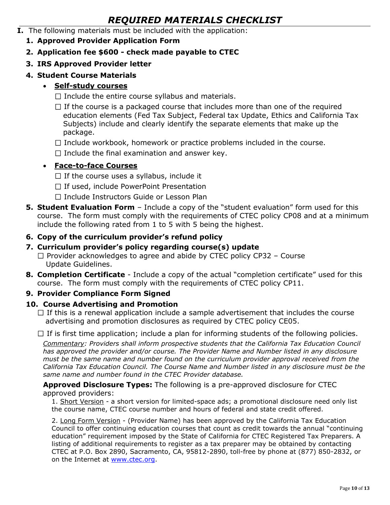## *REQUIRED MATERIALS CHECKLIST*

- **I.** The following materials must be included with the application:
	- **1. Approved Provider Application Form**
	- **2. Application fee \$600 - check made payable to CTEC**
	- **3. IRS Approved Provider letter**
	- **4. Student Course Materials**

### **Self-study courses**

- $\Box$  Include the entire course syllabus and materials.
- $\Box$  If the course is a packaged course that includes more than one of the required education elements (Fed Tax Subject, Federal tax Update, Ethics and California Tax Subjects) include and clearly identify the separate elements that make up the package.
- $\Box$  Include workbook, homework or practice problems included in the course.
- $\Box$  Include the final examination and answer key.

### **Face-to-face Courses**

- $\Box$  If the course uses a syllabus, include it
- $\Box$  If used, include PowerPoint Presentation
- $\Box$  Include Instructors Guide or Lesson Plan
- **5. Student Evaluation Form** Include a copy of the "student evaluation" form used for this course. The form must comply with the requirements of CTEC policy CP08 and at a minimum include the following rated from 1 to 5 with 5 being the highest.

### **6. Copy of the curriculum provider's refund policy**

- **7. Curriculum provider's policy regarding course(s) update**
	- $\Box$  Provider acknowledges to agree and abide by CTEC policy CP32 Course Update Guidelines.
- **8. Completion Certificate** Include a copy of the actual "completion certificate" used for this course. The form must comply with the requirements of CTEC policy CP11.

### **9. Provider Compliance Form Signed**

### **10. Course Advertising and Promotion**

 $\Box$  If this is a renewal application include a sample advertisement that includes the course advertising and promotion disclosures as required by CTEC policy CE05.

 $\Box$  If is first time application; include a plan for informing students of the following policies.

*Commentary: Providers shall inform prospective students that the California Tax Education Council has approved the provider and/or course. The Provider Name and Number listed in any disclosure must be the same name and number found on the curriculum provider approval received from the California Tax Education Council. The Course Name and Number listed in any disclosure must be the same name and number found in the CTEC Provider database.* 

**Approved Disclosure Types:** The following is a pre-approved disclosure for CTEC approved providers:

1. Short Version - a short version for limited-space ads; a promotional disclosure need only list the course name, CTEC course number and hours of federal and state credit offered.

2. Long Form Version - (Provider Name) has been approved by the California Tax Education Council to offer continuing education courses that count as credit towards the annual "continuing education" requirement imposed by the State of California for CTEC Registered Tax Preparers. A listing of additional requirements to register as a tax preparer may be obtained by contacting CTEC at P.O. Box 2890, Sacramento, CA, 95812-2890, toll-free by phone at (877) 850-2832, or on the Internet at [www.ctec.org.](http://www.ctec.org/)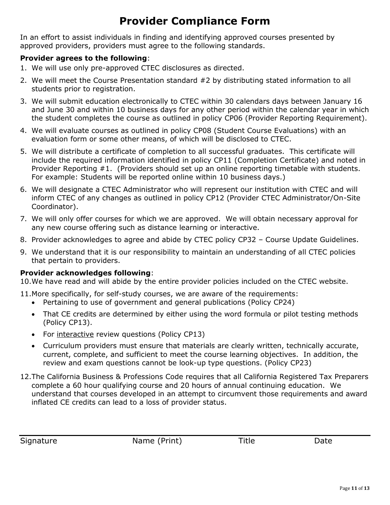# **Provider Compliance Form**

In an effort to assist individuals in finding and identifying approved courses presented by approved providers, providers must agree to the following standards.

### **Provider agrees to the following**:

- 1. We will use only pre-approved CTEC disclosures as directed.
- 2. We will meet the Course Presentation standard #2 by distributing stated information to all students prior to registration.
- 3. We will submit education electronically to CTEC within 30 calendars days between January 16 and June 30 and within 10 business days for any other period within the calendar year in which the student completes the course as outlined in policy CP06 (Provider Reporting Requirement).
- 4. We will evaluate courses as outlined in policy CP08 (Student Course Evaluations) with an evaluation form or some other means, of which will be disclosed to CTEC.
- 5. We will distribute a certificate of completion to all successful graduates. This certificate will include the required information identified in policy CP11 (Completion Certificate) and noted in Provider Reporting #1. (Providers should set up an online reporting timetable with students. For example: Students will be reported online within 10 business days.)
- 6. We will designate a CTEC Administrator who will represent our institution with CTEC and will inform CTEC of any changes as outlined in policy CP12 (Provider CTEC Administrator/On-Site Coordinator).
- 7. We will only offer courses for which we are approved. We will obtain necessary approval for any new course offering such as distance learning or interactive.
- 8. Provider acknowledges to agree and abide by CTEC policy CP32 Course Update Guidelines.
- 9. We understand that it is our responsibility to maintain an understanding of all CTEC policies that pertain to providers.

### **Provider acknowledges following**:

10.We have read and will abide by the entire provider policies included on the CTEC website.

- 11.More specifically, for self-study courses, we are aware of the requirements:
	- Pertaining to use of government and general publications (Policy CP24)
	- That CE credits are determined by either using the word formula or pilot testing methods (Policy CP13).
	- For interactive review questions (Policy CP13)
	- Curriculum providers must ensure that materials are clearly written, technically accurate, current, complete, and sufficient to meet the course learning objectives. In addition, the review and exam questions cannot be look-up type questions. (Policy CP23)
- 12.The California Business & Professions Code requires that all California Registered Tax Preparers complete a 60 hour qualifying course and 20 hours of annual continuing education. We understand that courses developed in an attempt to circumvent those requirements and award inflated CE credits can lead to a loss of provider status.

| Signature | Name (Print) | Title | Date |
|-----------|--------------|-------|------|
|           |              |       |      |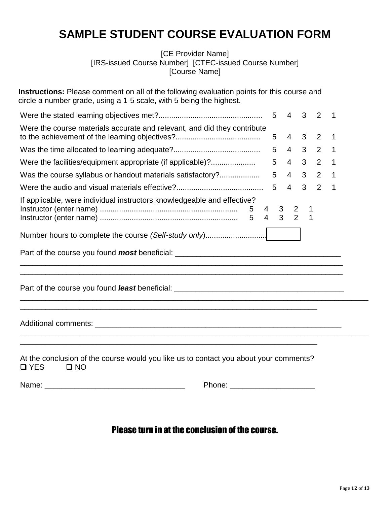# **SAMPLE STUDENT COURSE EVALUATION FORM**

[CE Provider Name] [IRS-issued Course Number] [CTEC-issued Course Number] [Course Name]

**Instructions:** Please comment on all of the following evaluation points for this course and circle a number grade, using a 1-5 scale, with 5 being the highest.

|                                                                                         |           |  | $\overline{\phantom{1}}$   |  |
|-----------------------------------------------------------------------------------------|-----------|--|----------------------------|--|
| Were the course materials accurate and relevant, and did they contribute                | $5$ 4 3 2 |  | $\overline{\phantom{0}}$ 1 |  |
|                                                                                         | 5 4 3 2 1 |  |                            |  |
| Were the facilities/equipment appropriate (if applicable)?                              | 5 4 3 2 1 |  |                            |  |
| Was the course syllabus or handout materials satisfactory?                              | 5 4 3 2 1 |  |                            |  |
|                                                                                         | 5 4 3 2 1 |  |                            |  |
| If applicable, were individual instructors knowledgeable and effective?                 |           |  |                            |  |
| Number hours to complete the course (Self-study only)                                   |           |  |                            |  |
|                                                                                         |           |  |                            |  |
| Part of the course you found <i>least</i> beneficial: _________________________________ |           |  |                            |  |

Additional comments: \_\_\_\_\_\_\_\_\_\_\_\_\_\_\_\_\_\_\_\_\_\_\_\_\_\_\_\_\_\_\_\_\_\_\_\_\_\_\_\_\_\_\_\_\_\_\_\_\_\_\_\_\_\_\_\_\_\_

|               |             |  | At the conclusion of the course would you like us to contact you about your comments? |  |
|---------------|-------------|--|---------------------------------------------------------------------------------------|--|
| $\square$ YES | <b>D NO</b> |  |                                                                                       |  |

\_\_\_\_\_\_\_\_\_\_\_\_\_\_\_\_\_\_\_\_\_\_\_\_\_\_\_\_\_\_\_\_\_\_\_\_\_\_\_\_\_\_\_\_\_\_\_\_\_\_\_\_\_\_\_\_\_\_\_\_\_\_\_\_\_\_\_\_\_\_

\_\_\_\_\_\_\_\_\_\_\_\_\_\_\_\_\_\_\_\_\_\_\_\_\_\_\_\_\_\_\_\_\_\_\_\_\_\_\_\_\_\_\_\_\_\_\_\_\_\_\_\_\_\_\_\_\_\_\_\_\_\_\_\_\_\_\_\_\_\_

Name: \_\_\_\_\_\_\_\_\_\_\_\_\_\_\_\_\_\_\_\_\_\_\_\_\_\_\_\_\_\_\_\_\_ Phone: \_\_\_\_\_\_\_\_\_\_\_\_\_\_\_\_\_\_\_\_

## Please turn in at the conclusion of the course.